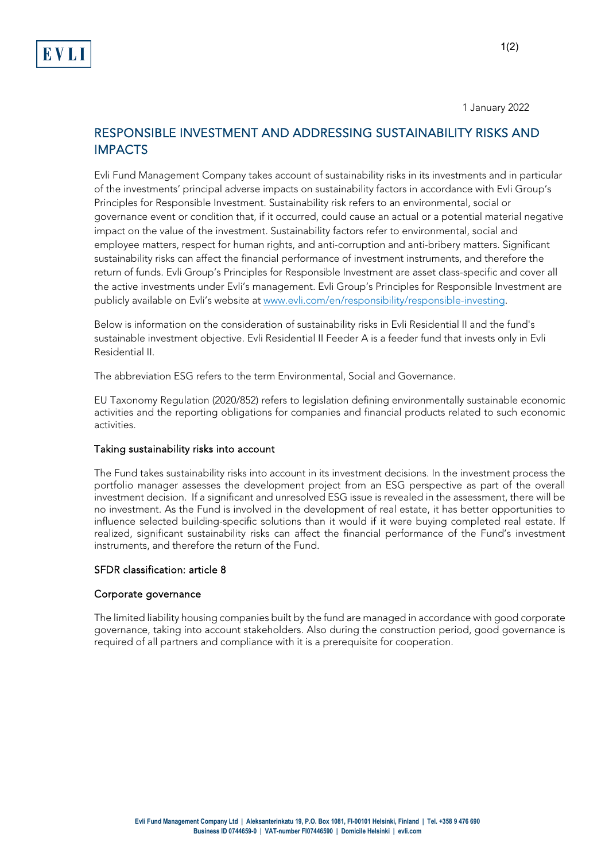1 January 2022

# RESPONSIBLE INVESTMENT AND ADDRESSING SUSTAINABILITY RISKS AND IMPACTS

Evli Fund Management Company takes account of sustainability risks in its investments and in particular of the investments' principal adverse impacts on sustainability factors in accordance with Evli Group's Principles for Responsible Investment. Sustainability risk refers to an environmental, social or governance event or condition that, if it occurred, could cause an actual or a potential material negative impact on the value of the investment. Sustainability factors refer to environmental, social and employee matters, respect for human rights, and anti-corruption and anti-bribery matters. Significant sustainability risks can affect the financial performance of investment instruments, and therefore the return of funds. Evli Group's Principles for Responsible Investment are asset class-specific and cover all the active investments under Evli's management. Evli Group's Principles for Responsible Investment are publicly available on Evli's website a[t www.evli.com/en/responsibility/responsible-investing.](http://www.evli.com/en/responsibility/responsible-investing)

Below is information on the consideration of sustainability risks in Evli Residential II and the fund's sustainable investment objective. Evli Residential II Feeder A is a feeder fund that invests only in Evli Residential II.

The abbreviation ESG refers to the term Environmental, Social and Governance.

EU Taxonomy Regulation (2020/852) refers to legislation defining environmentally sustainable economic activities and the reporting obligations for companies and financial products related to such economic activities.

## Taking sustainability risks into account

The Fund takes sustainability risks into account in its investment decisions. In the investment process the portfolio manager assesses the development project from an ESG perspective as part of the overall investment decision. If a significant and unresolved ESG issue is revealed in the assessment, there will be no investment. As the Fund is involved in the development of real estate, it has better opportunities to influence selected building-specific solutions than it would if it were buying completed real estate. If realized, significant sustainability risks can affect the financial performance of the Fund's investment instruments, and therefore the return of the Fund.

## SFDR classification: article 8

#### Corporate governance

The limited liability housing companies built by the fund are managed in accordance with good corporate governance, taking into account stakeholders. Also during the construction period, good governance is required of all partners and compliance with it is a prerequisite for cooperation.